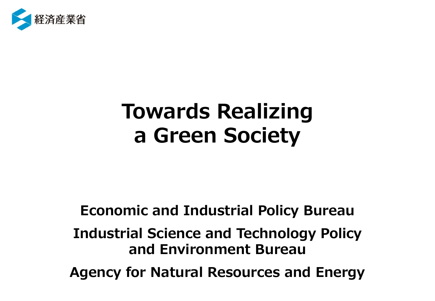

# **Towards Realizing a Green Society**

**Economic and Industrial Policy Bureau Industrial Science and Technology Policy and Environment Bureau Agency for Natural Resources and Energy**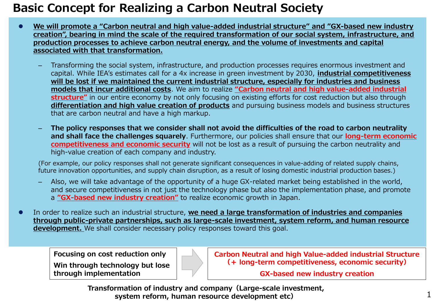# **Basic Concept for Realizing a Carbon Neutral Society**

- ⚫ **We will promote a "Carbon neutral and high value-added industrial structure" and "GX-based new industry creation", bearing in mind the scale of the required transformation of our social system, infrastructure, and production processes to achieve carbon neutral energy, and the volume of investments and capital associated with that transformation.**
	- Transforming the social system, infrastructure, and production processes requires enormous investment and capital. While IEA's estimates call for a 4x increase in green investment by 2030, **industrial competitiveness will be lost if we maintained the current industrial structure, especially for industries and business models that incur additional costs**. We aim to realize **"Carbon neutral and high value-added industrial structure"** in our entire economy by not only focusing on existing efforts for cost reduction but also through **differentiation and high value creation of products** and pursuing business models and business structures that are carbon neutral and have a high markup.
	- **The policy responses that we consider shall not avoid the difficulties of the road to carbon neutrality and shall face the challenges squarely**. Furthermore, our policies shall ensure that our **long-term economic competitiveness and economic security** will not be lost as a result of pursuing the carbon neutrality and high-value creation of each company and industry.

(For example, our policy responses shall not generate significant consequences in value-adding of related supply chains, future innovation opportunities, and supply chain disruption, as a result of losing domestic industrial production bases.)

- Also, we will take advantage of the opportunity of a huge GX-related market being established in the world, and secure competitiveness in not just the technology phase but also the implementation phase, and promote a **"GX-based new industry creation"** to realize economic growth in Japan.
- ⚫ In order to realize such an industrial structure, **we need a large transformation of industries and companies through public-private partnerships, such as large-scale investment, system reform, and human resource development.** We shall consider necessary policy responses toward this goal.

**Focusing on cost reduction only Win through technology but lose through implementation**

**Carbon Neutral and high Value-added industrial Structure (+ long-term competitiveness, economic security)**

**GX-based new industry creation**

1

**Transformation of industry and company(Large-scale investment, system reform, human resource development etc)**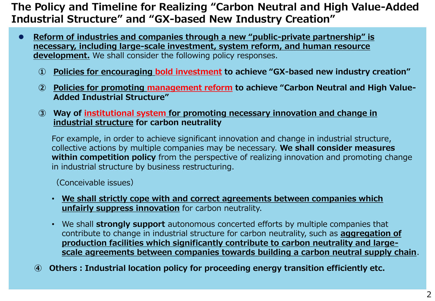# **The Policy and Timeline for Realizing "Carbon Neutral and High Value-Added Industrial Structure" and "GX-based New Industry Creation"**

- ⚫ **Reform of industries and companies through a new "public-private partnership" is necessary, including large-scale investment, system reform, and human resource development.** We shall consider the following policy responses.
	- **① Policies for encouraging bold investment to achieve "GX-based new industry creation"**
	- **② Policies for promoting management reform to achieve "Carbon Neutral and High Value-Added Industrial Structure"**
	- **③ Way of institutional system for promoting necessary innovation and change in industrial structure for carbon neutrality**

For example, in order to achieve significant innovation and change in industrial structure, collective actions by multiple companies may be necessary. **We shall consider measures within competition policy** from the perspective of realizing innovation and promoting change in industrial structure by business restructuring.

(Conceivable issues)

- **We shall strictly cope with and correct agreements between companies which unfairly suppress innovation** for carbon neutrality.
- We shall **strongly support** autonomous concerted efforts by multiple companies that contribute to change in industrial structure for carbon neutrality, such as **aggregation of production facilities which significantly contribute to carbon neutrality and largescale agreements between companies towards building a carbon neutral supply chain**.
- **④ Others:Industrial location policy for proceeding energy transition efficiently etc.**